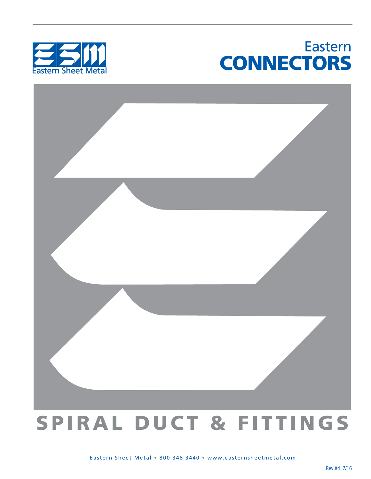### Eastern **CONNECTORS**





# SPIRAL DUCT & FITTINGS

Eastern Sheet Metal • 800 348 3440 • www.easternsheetmetal.com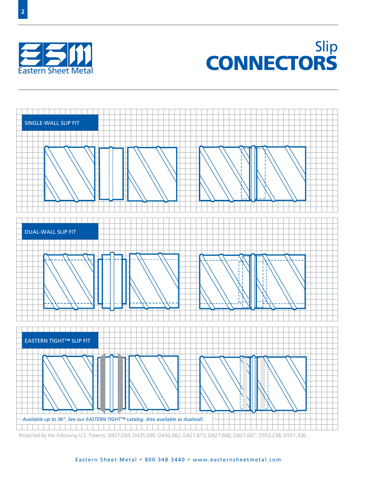



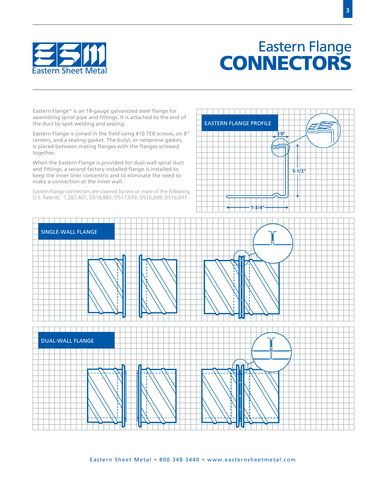

### Eastern Flange EASHIM CONNECTORS

Eastern Flange\* is an 18-gauge galvanized steel flange for assembling spiral pipe and fittings. It is attached to the end of the duct by spot welding and sealing.

Eastern Flange is joined in the field using #10 TEK screws, on 8" centers, and a sealing gasket. The butyl, or neoprene gasket, is placed between mating flanges with the flanges screwed together.

When the Eastern Flange is provided for dual-wall spiral duct and fittings, a second factory installed flange is installed to keep the inner liner concentric and to eliminate the need to make a connection at the inner wall.

Eastern Flange connectors are covered by one or more of the following U.S. Patents: 7,287,407; D518,885; D517,679; D516,698; D516,697.